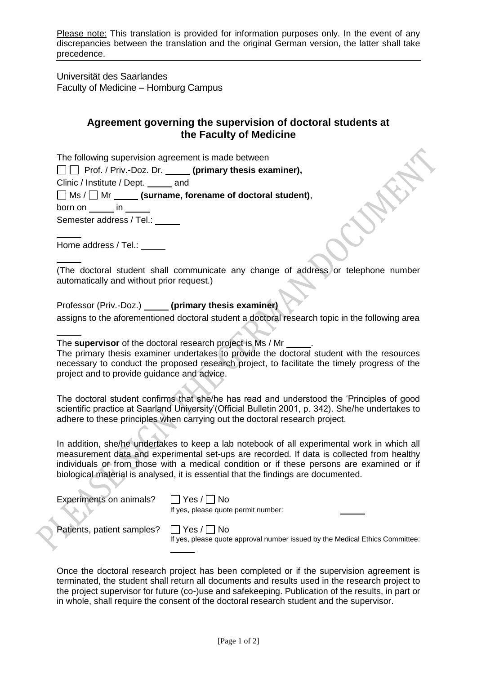Please note: This translation is provided for information purposes only. In the event of any discrepancies between the translation and the original German version, the latter shall take precedence.

Universität des Saarlandes Faculty of Medicine – Homburg Campus

## **Agreement governing the supervision of doctoral students at the Faculty of Medicine**

The following supervision agreement is made between

□□ Prof. / Priv.-Doz. Dr. **(primary thesis examiner)**,

Clinic / Institute / Dept. \_\_\_\_\_\_ and

Ms / Mr **(surname, forename of doctoral student)**,

born on in

Semester address / Tel.:

Home address / Tel.: **We array to the UV** 

(The doctoral student shall communicate any change of address or telephone number automatically and without prior request.)

Professor (Priv.-Doz.) **(primary thesis examiner)** assigns to the aforementioned doctoral student a doctoral research topic in the following area

The **supervisor** of the doctoral research project is Ms / Mr . The primary thesis examiner undertakes to provide the doctoral student with the resources necessary to conduct the proposed research project, to facilitate the timely progress of the project and to provide guidance and advice.

The doctoral student confirms that she/he has read and understood the 'Principles of good scientific practice at Saarland University'(Official Bulletin 2001, p. 342). She/he undertakes to adhere to these principles when carrying out the doctoral research project.

In addition, she/he undertakes to keep a lab notebook of all experimental work in which all measurement data and experimental set-ups are recorded. If data is collected from healthy individuals or from those with a medical condition or if these persons are examined or if biological material is analysed, it is essential that the findings are documented.

Experiments on animals?  $\Box$  Yes /  $\Box$  No

If yes, please quote permit number:

Patients, patient samples?  $\Box$  Yes /  $\Box$  No

If yes, please quote approval number issued by the Medical Ethics Committee:

Once the doctoral research project has been completed or if the supervision agreement is terminated, the student shall return all documents and results used in the research project to the project supervisor for future (co-)use and safekeeping. Publication of the results, in part or in whole, shall require the consent of the doctoral research student and the supervisor.